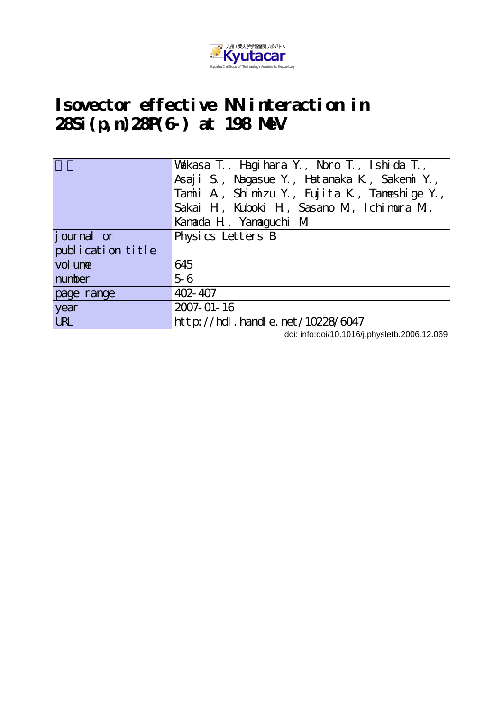

## **Isovector effective NN interaction in 28Si(p,n)28P(6-) at 198 MeV**

|                   | Wakasa T., Hagihara Y., Noro T., Ishida T.,<br>Asaji S., Nagasue Y., Hatanaka K., Sakemi Y.,<br>Tamii A, Shimizu Y., Fujita K, Tameshige Y.,<br>Sakai H, Kuboki H, Sasano M, Ichimura M, |  |
|-------------------|------------------------------------------------------------------------------------------------------------------------------------------------------------------------------------------|--|
|                   | Kanada H, Yanaguchi M                                                                                                                                                                    |  |
| journal or        | Physics Letters B                                                                                                                                                                        |  |
| publication title |                                                                                                                                                                                          |  |
| vol une           | 645                                                                                                                                                                                      |  |
| number            | $5-6$                                                                                                                                                                                    |  |
| page range        | $402 - 407$                                                                                                                                                                              |  |
| year              | 2007-01-16                                                                                                                                                                               |  |
| <b>URL</b>        | http://hdl.handle.net/10228/6047                                                                                                                                                         |  |

doi: info:doi/10.1016/j.physletb.2006.12.069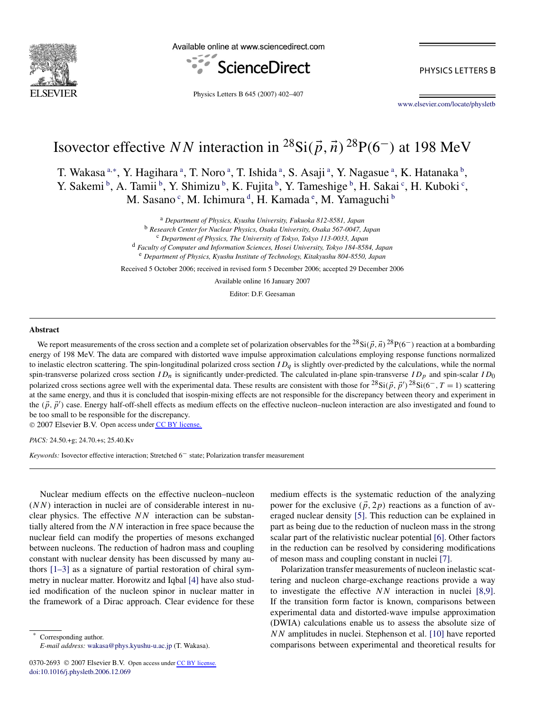

Available online at www.sciencedirect.com



PHYSICS LETTERS B

Physics Letters B 645 (2007) 402–407

[www.elsevier.com/locate/physletb](http://www.elsevier.com/locate/physletb)

# Isovector effective *NN* interaction in  ${}^{28}Si(\vec{p}, \vec{n})$   ${}^{28}P(6^-)$  at 198 MeV

T. Wakasa <sup>a,∗</sup>, Y. Hagihara <sup>a</sup>, T. Noro <sup>a</sup>, T. Ishida <sup>a</sup>, S. Asaji <sup>a</sup>, Y. Nagasue <sup>a</sup>, K. Hatanaka <sup>b</sup>, Y. Sakemi<sup>b</sup>, A. Tamii<sup>b</sup>, Y. Shimizu<sup>b</sup>, K. Fujita<sup>b</sup>, Y. Tameshige<sup>b</sup>, H. Sakai<sup>c</sup>, H. Kuboki<sup>c</sup>, M. Sasano<sup>c</sup>, M. Ichimura<sup>d</sup>, H. Kamada<sup>e</sup>, M. Yamaguchi<sup>b</sup>

> <sup>a</sup> *Department of Physics, Kyushu University, Fukuoka 812-8581, Japan* <sup>b</sup> *Research Center for Nuclear Physics, Osaka University, Osaka 567-0047, Japan* <sup>c</sup> *Department of Physics, The University of Tokyo, Tokyo 113-0033, Japan* <sup>d</sup> *Faculty of Computer and Information Sciences, Hosei University, Tokyo 184-8584, Japan* <sup>e</sup> *Department of Physics, Kyushu Institute of Technology, Kitakyushu 804-8550, Japan*

Received 5 October 2006; received in revised form 5 December 2006; accepted 29 December 2006

Available online 16 January 2007

Editor: D.F. Geesaman

#### **Abstract**

We report measurements of the cross section and a complete set of polarization observables for the  $^{28}Si(\vec{p},\vec{n})^{28}P(6^-)$  reaction at a bombarding energy of 198 MeV. The data are compared with distorted wave impulse approximation calculations employing response functions normalized to inelastic electron scattering. The spin-longitudinal polarized cross section  $ID_q$  is slightly over-predicted by the calculations, while the normal spin-transverse polarized cross section  $ID_n$  is significantly under-predicted. The calculated in-plane spin-transverse  $ID_p$  and spin-scalar  $ID_0$ polarized cross sections agree well with the experimental data. These results are consistent with those for  $^{28}Si(\vec{p}, \vec{p}')^{28}Si(6^-, T = 1)$  scattering at the same energy, and thus it is concluded that isospin-mixing effects are not responsible for the discrepancy between theory and experiment in the  $(\vec{p}, \vec{p}')$  case. Energy half-off-shell effects as medium effects on the effective nucleon–nucleon interaction are also investigated and found to be too small to be responsible for the discrepancy.

© 2007 Elsevier B.V. Open access under [CC BY license.](http://creativecommons.org/licenses/by/3.0/)

*PACS:* 24.50.+g; 24.70.+s; 25.40.Kv

*Keywords:* Isovector effective interaction; Stretched 6− state; Polarization transfer measurement

Nuclear medium effects on the effective nucleon–nucleon (*NN*) interaction in nuclei are of considerable interest in nuclear physics. The effective *NN* interaction can be substantially altered from the *NN* interaction in free space because the nuclear field can modify the properties of mesons exchanged between nucleons. The reduction of hadron mass and coupling constant with nuclear density has been discussed by many authors [\[1–3\]](#page-5-0) as a signature of partial restoration of chiral symmetry in nuclear matter. Horowitz and Iqbal [\[4\]](#page-5-0) have also studied modification of the nucleon spinor in nuclear matter in the framework of a Dirac approach. Clear evidence for these

Corresponding author. *E-mail address:* [wakasa@phys.kyushu-u.ac.jp](mailto:wakasa@phys.kyushu-u.ac.jp) (T. Wakasa). medium effects is the systematic reduction of the analyzing power for the exclusive  $(\vec{p}, 2p)$  reactions as a function of averaged nuclear density [\[5\].](#page-5-0) This reduction can be explained in part as being due to the reduction of nucleon mass in the strong scalar part of the relativistic nuclear potential [\[6\].](#page-5-0) Other factors in the reduction can be resolved by considering modifications of meson mass and coupling constant in nuclei [\[7\].](#page-5-0)

Polarization transfer measurements of nucleon inelastic scattering and nucleon charge-exchange reactions provide a way to investigate the effective *NN* interaction in nuclei [\[8,9\].](#page-5-0) If the transition form factor is known, comparisons between experimental data and distorted-wave impulse approximation (DWIA) calculations enable us to assess the absolute size of *NN* amplitudes in nuclei. Stephenson et al. [\[10\]](#page-5-0) have reported comparisons between experimental and theoretical results for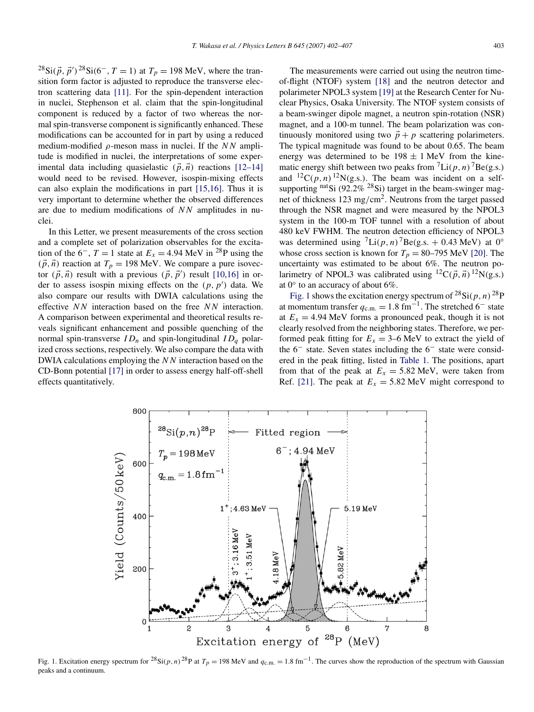<span id="page-2-0"></span> $^{28}Si(\vec{p}, \vec{p}')^{28}Si(6^-, T = 1)$  at  $T_p = 198$  MeV, where the transition form factor is adjusted to reproduce the transverse electron scattering data [\[11\].](#page-5-0) For the spin-dependent interaction in nuclei, Stephenson et al. claim that the spin-longitudinal component is reduced by a factor of two whereas the normal spin-transverse component is significantly enhanced. These modifications can be accounted for in part by using a reduced medium-modified *ρ*-meson mass in nuclei. If the *NN* amplitude is modified in nuclei, the interpretations of some experimental data including quasielastic  $(\vec{p}, \vec{n})$  reactions [\[12–14\]](#page-5-0) would need to be revised. However, isospin-mixing effects can also explain the modifications in part [\[15,16\].](#page-5-0) Thus it is very important to determine whether the observed differences are due to medium modifications of *NN* amplitudes in nuclei.

In this Letter, we present measurements of the cross section and a complete set of polarization observables for the excitation of the  $6^-$ ,  $T = 1$  state at  $E_x = 4.94$  MeV in <sup>28</sup>P using the  $(\vec{p}, \vec{n})$  reaction at  $T_p = 198$  MeV. We compare a pure isovector  $(\vec{p}, \vec{n})$  result with a previous  $(\vec{p}, \vec{p}')$  result [\[10,16\]](#page-5-0) in order to assess isospin mixing effects on the *(p, p )* data. We also compare our results with DWIA calculations using the effective *NN* interaction based on the free *NN* interaction. A comparison between experimental and theoretical results reveals significant enhancement and possible quenching of the normal spin-transverse  $ID_n$  and spin-longitudinal  $ID_a$  polarized cross sections, respectively. We also compare the data with DWIA calculations employing the *NN* interaction based on the CD-Bonn potential [\[17\]](#page-5-0) in order to assess energy half-off-shell effects quantitatively.

The measurements were carried out using the neutron timeof-flight (NTOF) system [\[18\]](#page-5-0) and the neutron detector and polarimeter NPOL3 system [\[19\]](#page-5-0) at the Research Center for Nuclear Physics, Osaka University. The NTOF system consists of a beam-swinger dipole magnet, a neutron spin-rotation (NSR) magnet, and a 100-m tunnel. The beam polarization was continuously monitored using two  $\vec{p} + p$  scattering polarimeters. The typical magnitude was found to be about 0.65. The beam energy was determined to be  $198 \pm 1$  MeV from the kinematic energy shift between two peaks from  ${}^{7}$ Li(p, n)<sup> ${}^{7}$ Be(g.s.)</sup> and  ${}^{12}C(p, n)$   ${}^{12}N(g.s.)$ . The beam was incident on a selfsupporting nat<sub>Si</sub> (92.2% <sup>28</sup>Si) target in the beam-swinger magnet of thickness 123 mg*/*cm2. Neutrons from the target passed through the NSR magnet and were measured by the NPOL3 system in the 100-m TOF tunnel with a resolution of about 480 keV FWHM. The neutron detection efficiency of NPOL3 was determined using  ${}^{7}$ Li $(p, n)$ <sup>7</sup>Be $(g.s. + 0.43$  MeV $)$  at 0° whose cross section is known for  $T_p = 80-795$  MeV [\[20\].](#page-5-0) The uncertainty was estimated to be about 6%. The neutron polarimetry of NPOL3 was calibrated using  ${}^{12}C(\vec{p}, \vec{n})$   ${}^{12}N(g.s.)$ at  $0^\circ$  to an accuracy of about 6%.

Fig. 1 shows the excitation energy spectrum of  ${}^{28}$ Si(p, n)  ${}^{28}P$ at momentum transfer  $q_{c.m.} = 1.8$  fm<sup>-1</sup>. The stretched 6<sup>-</sup> state at  $E_x = 4.94$  MeV forms a pronounced peak, though it is not clearly resolved from the neighboring states. Therefore, we performed peak fitting for  $E_x = 3{\text -}6$  MeV to extract the yield of the 6− state. Seven states including the 6− state were considered in the peak fitting, listed in [Table 1.](#page-3-0) The positions, apart from that of the peak at  $E_x = 5.82$  MeV, were taken from Ref. [\[21\].](#page-5-0) The peak at  $E_x = 5.82$  MeV might correspond to



Fig. 1. Excitation energy spectrum for <sup>28</sup>Si(p, n)<sup>28</sup>P at  $T_p = 198$  MeV and  $q_{c.m.} = 1.8$  fm<sup>-1</sup>. The curves show the reproduction of the spectrum with Gaussian peaks and a continuum.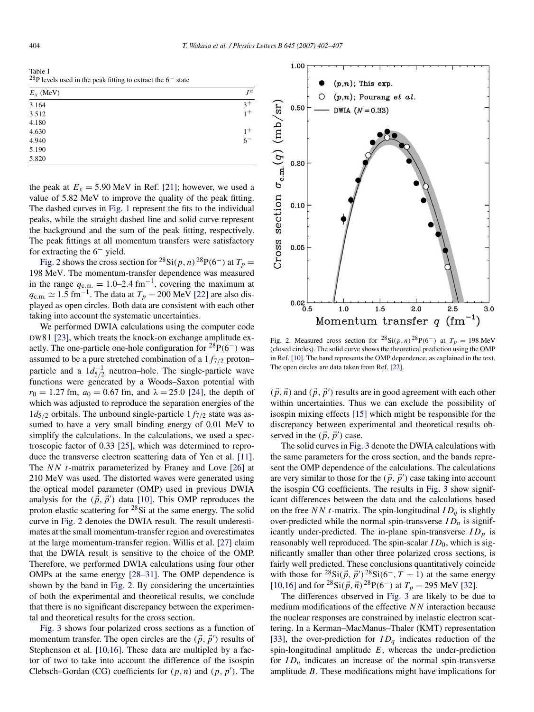<span id="page-3-0"></span>

| Table 1                                                                      |  |
|------------------------------------------------------------------------------|--|
| $^{28}P$ levels used in the peak fitting to extract the 6 <sup>-</sup> state |  |

| $E_x$ (MeV) | $J^{\pi}$ |
|-------------|-----------|
| 3.164       | $3^+$     |
| 3.512       | $1+$      |
| 4.180       |           |
| 4.630       | $1^+$     |
| 4.940       | $6-$      |
| 5.190       |           |
| 5.820       |           |

the peak at  $E_x = 5.90$  MeV in Ref. [\[21\];](#page-5-0) however, we used a value of 5.82 MeV to improve the quality of the peak fitting. The dashed curves in [Fig. 1](#page-2-0) represent the fits to the individual peaks, while the straight dashed line and solid curve represent the background and the sum of the peak fitting, respectively. The peak fittings at all momentum transfers were satisfactory for extracting the 6− yield.

Fig. 2 shows the cross section for <sup>28</sup>Si(p, n)<sup>28</sup>P(6<sup>-</sup>) at  $T_p$  = 198 MeV. The momentum-transfer dependence was measured in the range  $q_{c,m} = 1.0-2.4 \text{ fm}^{-1}$ , covering the maximum at  $q_{\text{c.m.}} \simeq 1.5 \text{ fm}^{-1}$ . The data at  $T_p = 200 \text{ MeV}$  [\[22\]](#page-5-0) are also displayed as open circles. Both data are consistent with each other taking into account the systematic uncertainties.

We performed DWIA calculations using the computer code DW81 [\[23\],](#page-5-0) which treats the knock-on exchange amplitude exactly. The one-particle one-hole configuration for  ${}^{28}P(6^-)$  was assumed to be a pure stretched combination of a 1*f*7*/*<sup>2</sup> proton– particle and a  $1d_{5/2}^{-1}$  neutron–hole. The single-particle wave functions were generated by a Woods–Saxon potential with  $r_0 = 1.27$  fm,  $a_0 = 0.67$  fm, and  $\lambda = 25.0$  [\[24\],](#page-5-0) the depth of which was adjusted to reproduce the separation energies of the  $1d_{5/2}$  orbitals. The unbound single-particle  $1f_{7/2}$  state was assumed to have a very small binding energy of 0.01 MeV to simplify the calculations. In the calculations, we used a spectroscopic factor of 0.33 [\[25\],](#page-5-0) which was determined to reproduce the transverse electron scattering data of Yen et al. [\[11\].](#page-5-0) The *NN t*-matrix parameterized by Franey and Love [\[26\]](#page-5-0) at 210 MeV was used. The distorted waves were generated using the optical model parameter (OMP) used in previous DWIA analysis for the  $(\vec{p}, \vec{p}')$  data [\[10\].](#page-5-0) This OMP reproduces the proton elastic scattering for  $28Si$  at the same energy. The solid curve in Fig. 2 denotes the DWIA result. The result underestimates at the small momentum-transfer region and overestimates at the large momentum-transfer region. Willis et al. [\[27\]](#page-5-0) claim that the DWIA result is sensitive to the choice of the OMP. Therefore, we performed DWIA calculations using four other OMPs at the same energy [\[28–31\].](#page-5-0) The OMP dependence is shown by the band in Fig. 2. By considering the uncertainties of both the experimental and theoretical results, we conclude that there is no significant discrepancy between the experimental and theoretical results for the cross section.

[Fig. 3](#page-4-0) shows four polarized cross sections as a function of momentum transfer. The open circles are the  $(\vec{p}, \vec{p}')$  results of Stephenson et al. [\[10,16\].](#page-5-0) These data are multipled by a factor of two to take into account the difference of the isospin Clebsch–Gordan *(CG)* coefficients for  $(p, n)$  and  $(p, p')$ . The



Fig. 2. Measured cross section for  ${}^{28}Si(p, n) {}^{28}P(6^-)$  at  $T_p = 198$  MeV (closed circles). The solid curve shows the theoretical prediction using the OMP in Ref. [\[10\].](#page-5-0) The band represents the OMP dependence, as explained in the text. The open circles are data taken from Ref. [\[22\].](#page-5-0)

 $(\vec{p}, \vec{n})$  and  $(\vec{p}, \vec{p}')$  results are in good agreement with each other within uncertainties. Thus we can exclude the possibility of isospin mixing effects [\[15\]](#page-5-0) which might be responsible for the discrepancy between experimental and theoretical results observed in the  $(\vec{p}, \vec{p}')$  case.

The solid curves in [Fig. 3](#page-4-0) denote the DWIA calculations with the same parameters for the cross section, and the bands represent the OMP dependence of the calculations. The calculations are very similar to those for the  $(\vec{p}, \vec{p}')$  case taking into account the isospin CG coefficients. The results in [Fig. 3](#page-4-0) show significant differences between the data and the calculations based on the free *NN t*-matrix. The spin-longitudinal *IDq* is slightly over-predicted while the normal spin-transverse  $ID_n$  is significantly under-predicted. The in-plane spin-transverse  $ID_p$  is reasonably well reproduced. The spin-scalar *ID*<sub>0</sub>, which is significantly smaller than other three polarized cross sections, is fairly well predicted. These conclusions quantitatively coincide with those for  $^{28}$ Si( $\vec{p}$ ,  $\vec{p}'$ )<sup>28</sup>Si(6<sup>-</sup>, T = 1) at the same energy [\[10,16\]](#page-5-0) and for  ${}^{28}Si(\vec{p}, \vec{n}){}^{28}P(6^-)$  at  $T_p = 295$  MeV [\[32\].](#page-6-0)

The differences observed in [Fig. 3](#page-4-0) are likely to be due to medium modifications of the effective *NN* interaction because the nuclear responses are constrained by inelastic electron scattering. In a Kerman–MacManus–Thaler (KMT) representation [\[33\],](#page-6-0) the over-prediction for  $ID_q$  indicates reduction of the spin-longitudinal amplitude *E*, whereas the under-prediction for  $ID_n$  indicates an increase of the normal spin-transverse amplitude *B*. These modifications might have implications for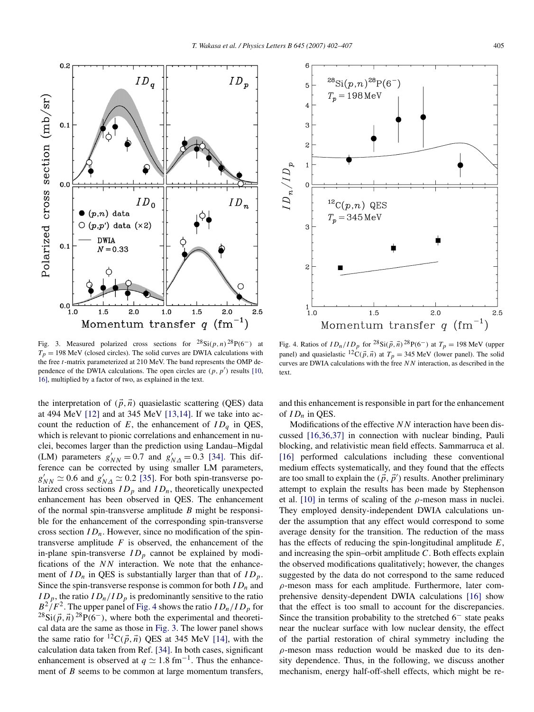<span id="page-4-0"></span>

Fig. 3. Measured polarized cross sections for  ${}^{28}\text{Si}(p, n) {}^{28}\text{P}(6^-)$  at  $T_p = 198$  MeV (closed circles). The solid curves are DWIA calculations with the free *t*-matrix parameterized at 210 MeV. The band represents the OMP dependence of the DWIA calculations. The open circles are  $(p, p')$  results [\[10,](#page-5-0) [16\],](#page-5-0) multiplied by a factor of two, as explained in the text.

the interpretation of  $(\vec{p}, \vec{n})$  quasielastic scattering (QES) data at 494 MeV [\[12\]](#page-5-0) and at 345 MeV [\[13,14\].](#page-5-0) If we take into account the reduction of  $E$ , the enhancement of  $ID_q$  in QES, which is relevant to pionic correlations and enhancement in nuclei, becomes larger than the prediction using Landau–Migdal (LM) parameters  $g'_{NN} = 0.7$  and  $g'_{N\Delta} = 0.3$  [\[34\].](#page-6-0) This difference can be corrected by using smaller LM parameters,  $g'_{NN} \simeq 0.6$  and  $g'_{N\Delta} \simeq 0.2$  [\[35\].](#page-6-0) For both spin-transverse polarized cross sections  $ID_p$  and  $ID_n$ , theoretically unexpected enhancement has been observed in QES. The enhancement of the normal spin-transverse amplitude *B* might be responsible for the enhancement of the corresponding spin-transverse cross section  $ID_n$ . However, since no modification of the spintransverse amplitude *F* is observed, the enhancement of the in-plane spin-transverse  $ID_p$  cannot be explained by modifications of the *NN* interaction. We note that the enhancement of  $ID_n$  in QES is substantially larger than that of  $ID_p$ . Since the spin-transverse response is common for both  $ID_n$  and  $ID_p$ , the ratio  $ID_n/ID_p$  is predominantly sensitive to the ratio  $B^2/F^2$ . The upper panel of Fig. 4 shows the ratio  $ID_n/ID_p$  for  $^{28}Si(\vec{p}, \vec{n})^{28}P(6^-)$ , where both the experimental and theoretical data are the same as those in Fig. 3. The lower panel shows the same ratio for  ${}^{12}C(\vec{p}, \vec{n})$  QES at 345 MeV [\[14\],](#page-5-0) with the calculation data taken from Ref. [\[34\].](#page-6-0) In both cases, significant enhancement is observed at  $q \simeq 1.8$  fm<sup>-1</sup>. Thus the enhancement of *B* seems to be common at large momentum transfers,



Fig. 4. Ratios of  $ID_n/ID_p$  for  ${}^{28}Si(\vec{p}, \vec{n}){}^{28}P(6^-)$  at  $T_p = 198$  MeV (upper panel) and quasielastic <sup>12</sup>C( $\vec{p}$ ,  $\vec{n}$ ) at  $T_p = 345$  MeV (lower panel). The solid curves are DWIA calculations with the free *NN* interaction, as described in the text.

and this enhancement is responsible in part for the enhancement of  $ID_n$  in QES.

Modifications of the effective *NN* interaction have been discussed [\[16,36,37\]](#page-5-0) in connection with nuclear binding, Pauli blocking, and relativistic mean field effects. Sammarruca et al. [\[16\]](#page-5-0) performed calculations including these conventional medium effects systematically, and they found that the effects are too small to explain the  $(\vec{p}, \vec{p}')$  results. Another preliminary attempt to explain the results has been made by Stephenson et al.  $[10]$  in terms of scaling of the  $\rho$ -meson mass in nuclei. They employed density-independent DWIA calculations under the assumption that any effect would correspond to some average density for the transition. The reduction of the mass has the effects of reducing the spin-longitudinal amplitude *E*, and increasing the spin–orbit amplitude *C*. Both effects explain the observed modifications qualitatively; however, the changes suggested by the data do not correspond to the same reduced *ρ*-meson mass for each amplitude. Furthermore, later comprehensive density-dependent DWIA calculations [\[16\]](#page-5-0) show that the effect is too small to account for the discrepancies. Since the transition probability to the stretched  $6<sup>-</sup>$  state peaks near the nuclear surface with low nuclear density, the effect of the partial restoration of chiral symmetry including the *ρ*-meson mass reduction would be masked due to its density dependence. Thus, in the following, we discuss another mechanism, energy half-off-shell effects, which might be re-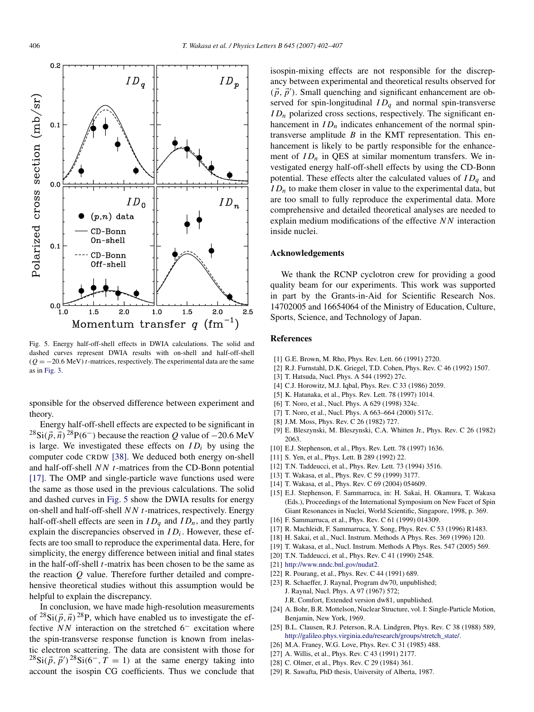<span id="page-5-0"></span>

Fig. 5. Energy half-off-shell effects in DWIA calculations. The solid and dashed curves represent DWIA results with on-shell and half-off-shell  $(Q = -20.6$  MeV) *t*-matrices, respectively. The experimental data are the same as in [Fig. 3.](#page-4-0)

sponsible for the observed difference between experiment and theory.

Energy half-off-shell effects are expected to be significant in  $^{28}Si(\vec{p}, \vec{n})^{28}P(6^-)$  because the reaction *Q* value of  $-20.6 \text{ MeV}$ is large. We investigated these effects on  $ID_i$  by using the computer code CRDW [\[38\].](#page-6-0) We deduced both energy on-shell and half-off-shell *NN t*-matrices from the CD-Bonn potential [17]. The OMP and single-particle wave functions used were the same as those used in the previous calculations. The solid and dashed curves in Fig. 5 show the DWIA results for energy on-shell and half-off-shell *NN t*-matrices, respectively. Energy half-off-shell effects are seen in  $ID_a$  and  $ID_n$ , and they partly explain the discrepancies observed in *IDi*. However, these effects are too small to reproduce the experimental data. Here, for simplicity, the energy difference between initial and final states in the half-off-shell *t*-matrix has been chosen to be the same as the reaction *Q* value. Therefore further detailed and comprehensive theoretical studies without this assumption would be helpful to explain the discrepancy.

In conclusion, we have made high-resolution measurements of  $^{28}Si(\vec{p}, \vec{n})^{28}P$ , which have enabled us to investigate the effective *NN* interaction on the stretched 6<sup>−</sup> excitation where the spin-transverse response function is known from inelastic electron scattering. The data are consistent with those for  $^{28}Si(\vec{p}, \vec{p}')^{28}Si(6^-, T = 1)$  at the same energy taking into account the isospin CG coefficients. Thus we conclude that isospin-mixing effects are not responsible for the discrepancy between experimental and theoretical results observed for  $(\vec{p}, \vec{p}')$ . Small quenching and significant enhancement are observed for spin-longitudinal  $ID<sub>a</sub>$  and normal spin-transverse  $ID_n$  polarized cross sections, respectively. The significant enhancement in  $ID_n$  indicates enhancement of the normal spintransverse amplitude *B* in the KMT representation. This enhancement is likely to be partly responsible for the enhancement of  $ID_n$  in QES at similar momentum transfers. We investigated energy half-off-shell effects by using the CD-Bonn potential. These effects alter the calculated values of *IDq* and  $ID_n$  to make them closer in value to the experimental data, but are too small to fully reproduce the experimental data. More comprehensive and detailed theoretical analyses are needed to explain medium modifications of the effective *NN* interaction inside nuclei.

### **Acknowledgements**

We thank the RCNP cyclotron crew for providing a good quality beam for our experiments. This work was supported in part by the Grants-in-Aid for Scientific Research Nos. 14702005 and 16654064 of the Ministry of Education, Culture, Sports, Science, and Technology of Japan.

#### **References**

- [1] G.E. Brown, M. Rho, Phys. Rev. Lett. 66 (1991) 2720.
- [2] R.J. Furnstahl, D.K. Griegel, T.D. Cohen, Phys. Rev. C 46 (1992) 1507.
- [3] T. Hatsuda, Nucl. Phys. A 544 (1992) 27c.
- [4] C.J. Horowitz, M.J. Iqbal, Phys. Rev. C 33 (1986) 2059.
- [5] K. Hatanaka, et al., Phys. Rev. Lett. 78 (1997) 1014.
- [6] T. Noro, et al., Nucl. Phys. A 629 (1998) 324c.
- [7] T. Noro, et al., Nucl. Phys. A 663-664 (2000) 517c.
- [8] J.M. Moss, Phys. Rev. C 26 (1982) 727.
- [9] E. Bleszynski, M. Bleszynski, C.A. Whitten Jr., Phys. Rev. C 26 (1982) 2063.
- [10] E.J. Stephenson, et al., Phys. Rev. Lett. 78 (1997) 1636.
- [11] S. Yen, et al., Phys. Lett. B 289 (1992) 22.
- [12] T.N. Taddeucci, et al., Phys. Rev. Lett. 73 (1994) 3516.
- [13] T. Wakasa, et al., Phys. Rev. C 59 (1999) 3177.
- [14] T. Wakasa, et al., Phys. Rev. C 69 (2004) 054609.
- [15] E.J. Stephenson, F. Sammarruca, in: H. Sakai, H. Okamura, T. Wakasa (Eds.), Proceedings of the International Symposium on New Facet of Spin Giant Resonances in Nuclei, World Scientific, Singapore, 1998, p. 369.
- [16] F. Sammarruca, et al., Phys. Rev. C 61 (1999) 014309.
- [17] R. Machleidt, F. Sammarruca, Y. Song, Phys. Rev. C 53 (1996) R1483.
- [18] H. Sakai, et al., Nucl. Instrum. Methods A Phys. Res. 369 (1996) 120.
- [19] T. Wakasa, et al., Nucl. Instrum. Methods A Phys. Res. 547 (2005) 569.
- [20] T.N. Taddeucci, et al., Phys. Rev. C 41 (1990) 2548.
- [21] <http://www.nndc.bnl.gov/nudat2>.
- [22] R. Pourang, et al., Phys. Rev. C 44 (1991) 689.
- [23] R. Schaeffer, J. Raynal, Program dw70, unpublished; J. Raynal, Nucl. Phys. A 97 (1967) 572;
	- J.R. Comfort, Extended version dw81, unpublished.
- [24] A. Bohr, B.R. Mottelson, Nuclear Structure, vol. I: Single-Particle Motion, Benjamin, New York, 1969.
- [25] B.L. Clausen, R.J. Peterson, R.A. Lindgren, Phys. Rev. C 38 (1988) 589, [http://galileo.phys.virginia.edu/research/groups/stretch\\_state/.](http://galileo.phys.virginia.edu/research/groups/stretch_state/)
- [26] M.A. Franey, W.G. Love, Phys. Rev. C 31 (1985) 488.
- [27] A. Willis, et al., Phys. Rev. C 43 (1991) 2177.
- [28] C. Olmer, et al., Phys. Rev. C 29 (1984) 361.
- [29] R. Sawafta, PhD thesis, University of Alberta, 1987.